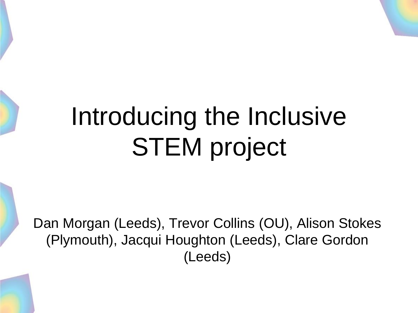# Introducing the Inclusive STEM project

Dan Morgan (Leeds), Trevor Collins (OU), Alison Stokes (Plymouth), Jacqui Houghton (Leeds), Clare Gordon (Leeds)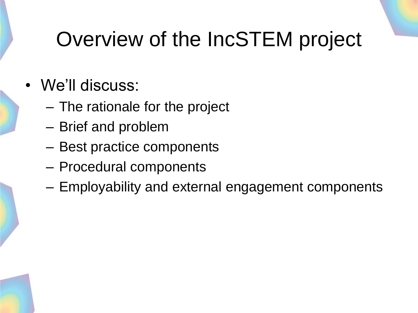#### Overview of the IncSTEM project

- We'll discuss:
	- The rationale for the project
	- Brief and problem
	- Best practice components
	- Procedural components
	- Employability and external engagement components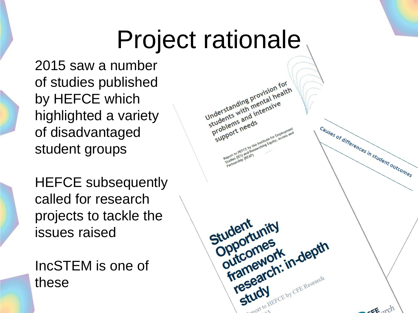### Project rationale

2015 saw a number of studies published by HEFCE which highlighted a variety of disadvantaged student groups

HEFCE subsequently called for research projects to tackle the issues raised

IncSTEM is one of these

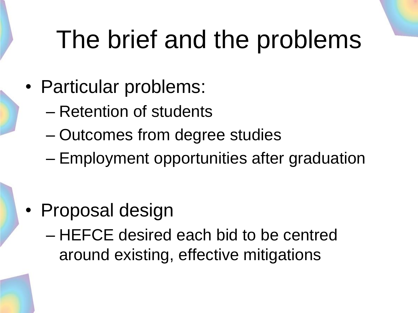# The brief and the problems

- Particular problems:
	- Retention of students
	- Outcomes from degree studies
	- Employment opportunities after graduation

- Proposal design
	- HEFCE desired each bid to be centred around existing, effective mitigations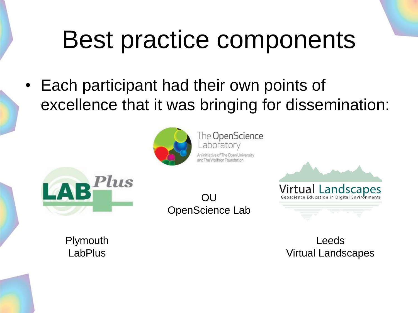## Best practice components

• Each participant had their own points of excellence that it was bringing for dissemination:



The OpenScience aboratory An initiative of The Open University and The Wolfson Found



 $\bigcap$ OpenScience Lab



Plymouth LabPlus

Leeds Virtual Landscapes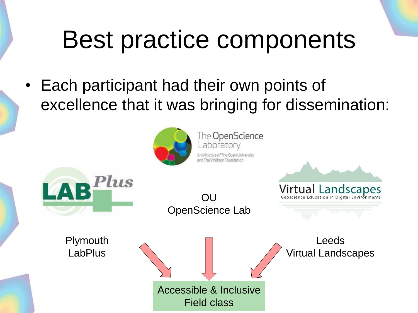### Best practice components

• Each participant had their own points of excellence that it was bringing for dissemination:



The OpenScience aboratory An initiative of The Open University and The Wolfson Found

**OU** OpenScience Lab

**Plymouth LabPlus** 

LAB

lus



**Virtual Landscapes**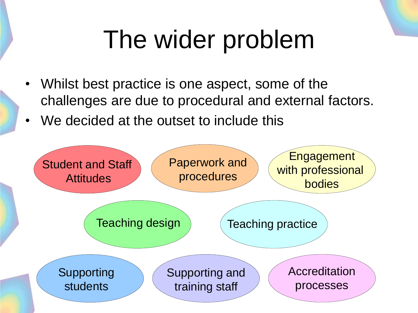# The wider problem

- Whilst best practice is one aspect, some of the challenges are due to procedural and external factors.
- We decided at the outset to include this

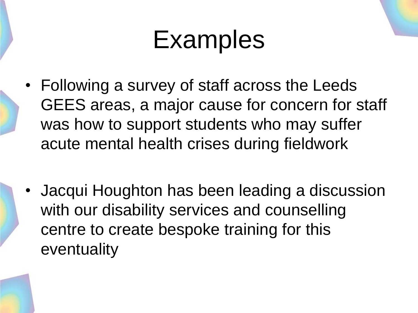#### Examples

- Following a survey of staff across the Leeds GEES areas, a major cause for concern for staff was how to support students who may suffer acute mental health crises during fieldwork
- Jacqui Houghton has been leading a discussion with our disability services and counselling centre to create bespoke training for this eventuality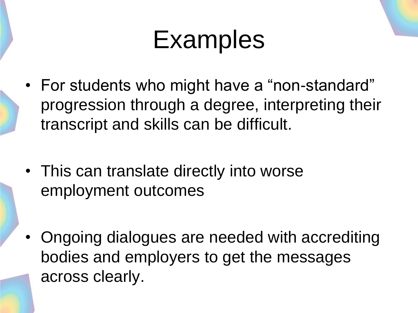#### Examples

- For students who might have a "non-standard" progression through a degree, interpreting their transcript and skills can be difficult.
- This can translate directly into worse employment outcomes
- Ongoing dialogues are needed with accrediting bodies and employers to get the messages across clearly.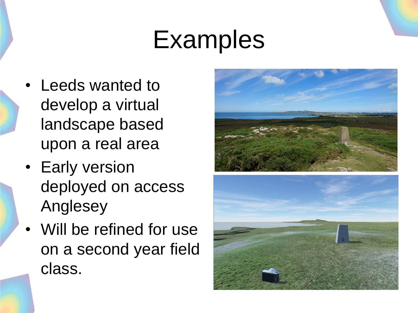#### Examples

- Leeds wanted to develop a virtual landscape based upon a real area
- Early version deployed on access Anglesey
- Will be refined for use on a second year field class.